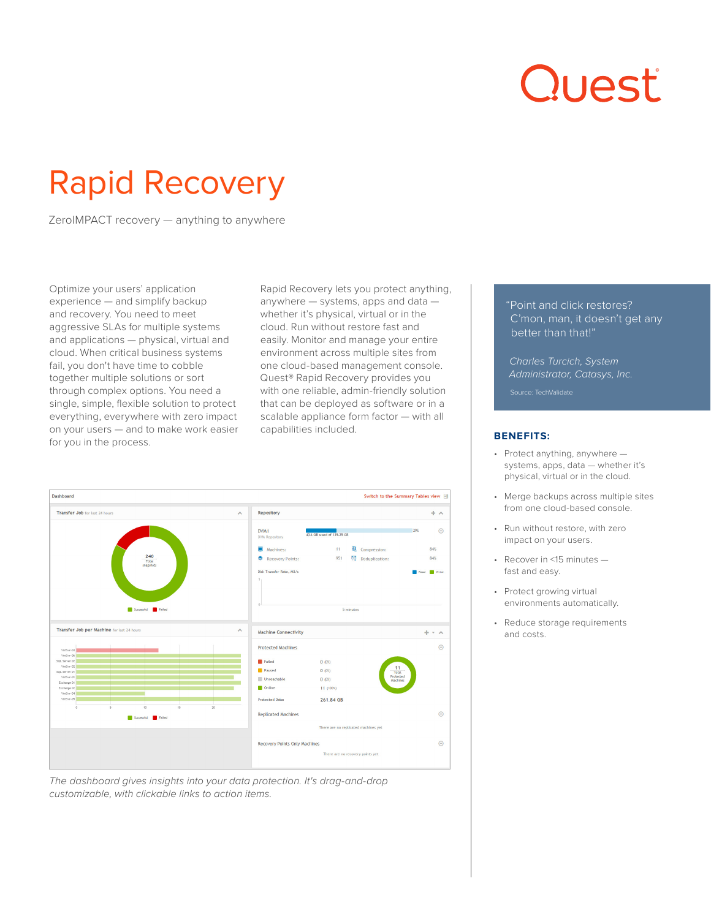# Quest

## Rapid Recovery

ZeroIMPACT recovery — anything to anywhere

Optimize your users' application experience — and simplify backup and recovery. You need to meet aggressive SLAs for multiple systems and applications — physical, virtual and cloud. When critical business systems fail, you don't have time to cobble together multiple solutions or sort through complex options. You need a single, simple, flexible solution to protect everything, everywhere with zero impact on your users — and to make work easier for you in the process.

Rapid Recovery lets you protect anything, anywhere — systems, apps and data whether it's physical, virtual or in the cloud. Run without restore fast and easily. Monitor and manage your entire environment across multiple sites from one cloud-based management console. Quest® Rapid Recovery provides you with one reliable, admin-friendly solution that can be deployed as software or in a scalable appliance form factor — with all capabilities included.



*The dashboard gives insights into your data protection. It's drag-and-drop customizable, with clickable links to action items.* 

#### "Point and click restores? C'mon, man, it doesn't get any better than that!"

*Charles Turcich, System Administrator, Catasys, Inc.* 

Source: TechValidate

#### **BENEFITS:**

- Protect anything, anywhere systems, apps, data — whether it's physical, virtual or in the cloud.
- Merge backups across multiple sites from one cloud-based console.
- Run without restore, with zero impact on your users.
- Recover in <15 minutes fast and easy.
- Protect growing virtual environments automatically.
- Reduce storage requirements and costs.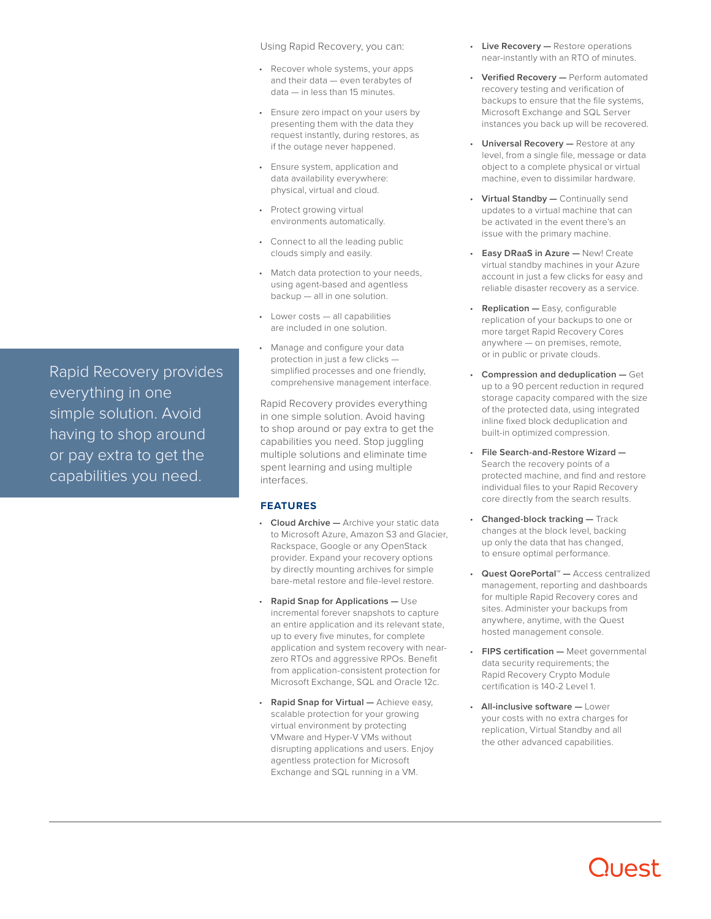Using Rapid Recovery, you can:

- Recover whole systems, your apps and their data — even terabytes of data — in less than 15 minutes.
- Ensure zero impact on your users by presenting them with the data they request instantly, during restores, as if the outage never happened.
- Ensure system, application and data availability everywhere: physical, virtual and cloud.
- Protect growing virtual environments automatically.
- Connect to all the leading public clouds simply and easily.
- Match data protection to your needs, using agent-based and agentless backup — all in one solution.
- Lower costs all capabilities are included in one solution.
- Manage and configure your data protection in just a few clicks simplified processes and one friendly, comprehensive management interface.

Rapid Recovery provides everything in one simple solution. Avoid having to shop around or pay extra to get the capabilities you need. Stop juggling multiple solutions and eliminate time spent learning and using multiple interfaces.

#### **FEATURES**

- **Cloud Archive —** Archive your static data to Microsoft Azure, Amazon S3 and Glacier, Rackspace, Google or any OpenStack provider. Expand your recovery options by directly mounting archives for simple bare-metal restore and file-level restore.
- **Rapid Snap for Applications —** Use incremental forever snapshots to capture an entire application and its relevant state, up to every five minutes, for complete application and system recovery with nearzero RTOs and aggressive RPOs. Benefit from application-consistent protection for Microsoft Exchange, SQL and Oracle 12c.
- **Rapid Snap for Virtual —** Achieve easy, scalable protection for your growing virtual environment by protecting VMware and Hyper-V VMs without disrupting applications and users. Enjoy agentless protection for Microsoft Exchange and SQL running in a VM.
- **Live Recovery —** Restore operations near-instantly with an RTO of minutes.
- **Verified Recovery —** Perform automated recovery testing and verification of backups to ensure that the file systems, Microsoft Exchange and SQL Server instances you back up will be recovered.
- **Universal Recovery —** Restore at any level, from a single file, message or data object to a complete physical or virtual machine, even to dissimilar hardware.
- **Virtual Standby —** Continually send updates to a virtual machine that can be activated in the event there's an issue with the primary machine.
- **Easy DRaaS in Azure —** New! Create virtual standby machines in your Azure account in just a few clicks for easy and reliable disaster recovery as a service.
- **Replication —** Easy, configurable replication of your backups to one or more target Rapid Recovery Cores anywhere — on premises, remote, or in public or private clouds.
- **Compression and deduplication —** Get up to a 90 percent reduction in requred storage capacity compared with the size of the protected data, using integrated inline fixed block deduplication and built-in optimized compression.
- **File Search-and-Restore Wizard —** Search the recovery points of a protected machine, and find and restore individual files to your Rapid Recovery core directly from the search results.
- **Changed-block tracking —** Track changes at the block level, backing up only the data that has changed, to ensure optimal performance.
- **Quest QorePortal™ —** Access centralized management, reporting and dashboards for multiple Rapid Recovery cores and sites. Administer your backups from anywhere, anytime, with the Quest hosted management console.
- **FIPS certification —** Meet governmental data security requirements; the Rapid Recovery Crypto Module certification is 140-2 Level 1.
- **All-inclusive software —** Lower your costs with no extra charges for replication, Virtual Standby and all the other advanced capabilities.

Rapid Recovery provides everything in one simple solution. Avoid having to shop around or pay extra to get the capabilities you need.

### **JUAST**